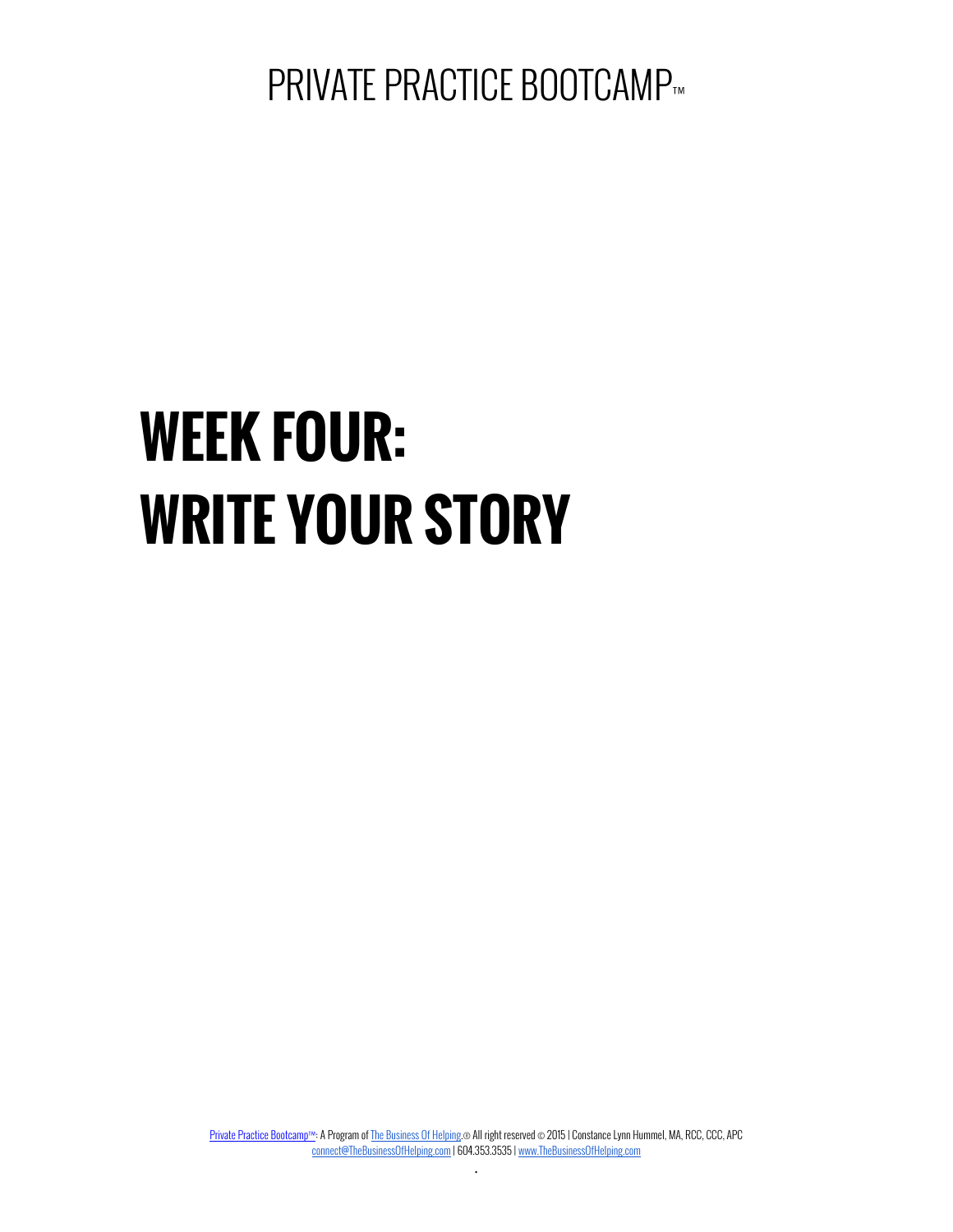PRIVATE PRACTICE BOOTCAMP™

# **WEEK FOUR: WRITE YOUR STORY**

Private Practice Bootcamp™: A Program of The Business Of Helping.® All right reserved © 2015 | Constance Lynn Hummel, MA, RCC, CCC, APC connect@TheBusinessOfHelping.com | 604.353.3535 | www.TheBusinessOfHelping.com .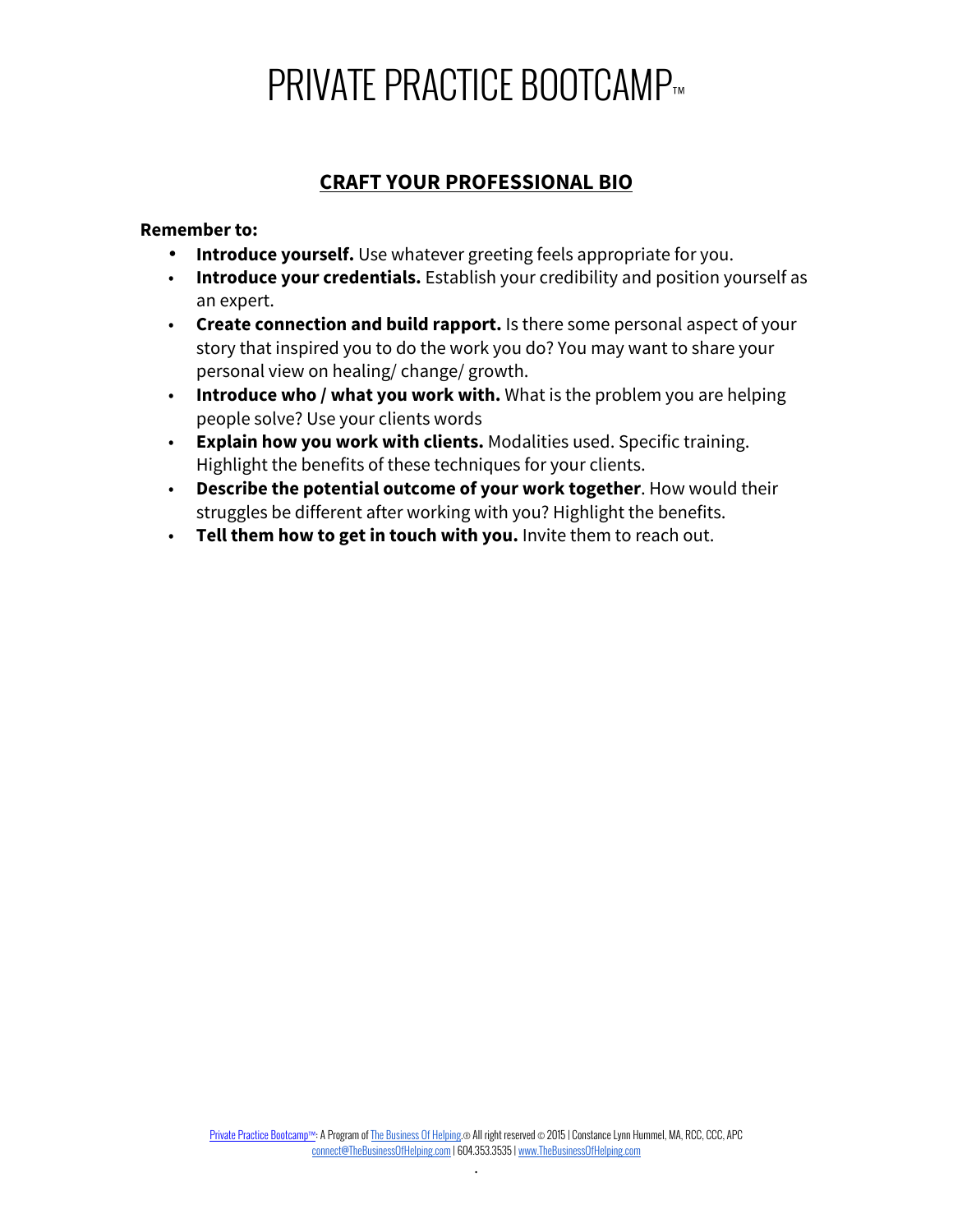# **PRIVATE PRACTICE BOOTCAMP™**

### **CRAFT YOUR PROFESSIONAL BIO**

#### **Remember to:**

- **Introduce yourself.** Use whatever greeting feels appropriate for you.
- **Introduce your credentials.** Establish your credibility and position yourself as an expert.
- **Create connection and build rapport.** Is there some personal aspect of your story that inspired you to do the work you do? You may want to share your personal view on healing/ change/ growth.
- **Introduce who / what you work with.** What is the problem you are helping people solve? Use your clients words
- **Explain how you work with clients.** Modalities used. Specific training. Highlight the benefits of these techniques for your clients.
- **Describe the potential outcome of your work together**. How would their struggles be different after working with you? Highlight the benefits.
- **Tell them how to get in touch with you.** Invite them to reach out.